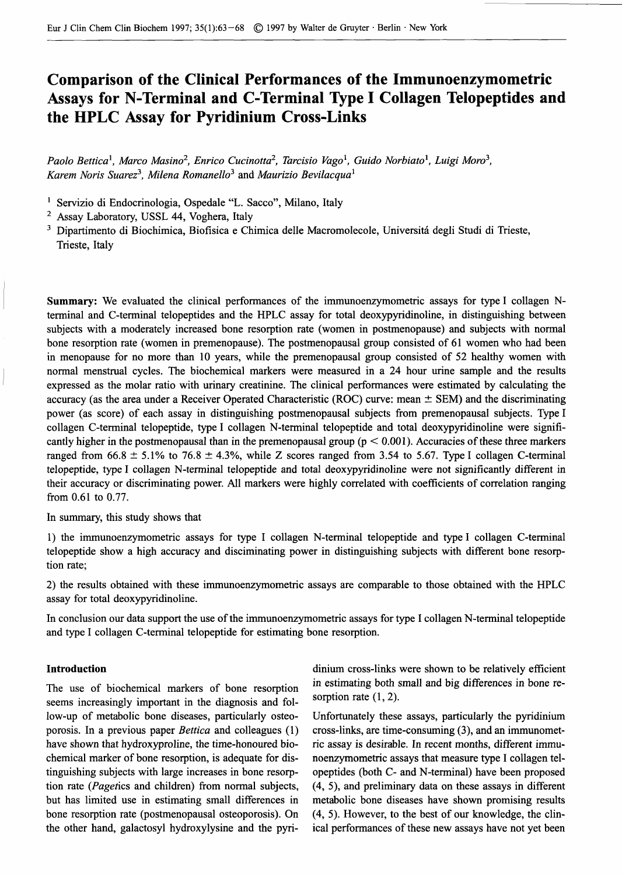# **Comparison of the Clinical Performances of the Immunoenzymometric Assays for N-Terminal and C-Terminal Type I Collagen Telopeptides and the HPLC Assay for Pyridinium Cross-Links**

*Paolo Bettica<sup>1</sup> , Marco Masino<sup>2</sup> , Enrico Cucinotta<sup>2</sup> , Tarcisio Vago<sup>1</sup> , Guido Norbiato<sup>1</sup> , Luigi Mow<sup>3</sup> , Karem Noris Suarez<sup>3</sup> , Milena Romanello<sup>3</sup>* and *Maurizio Bevilacqua<sup>1</sup>*

<sup>1</sup> Servizio di Endocrinologia, Ospedale "L. Sacco", Milano, Italy

<sup>2</sup> Assay Laboratory, USSL 44, Voghera, Italy

<sup>3</sup> Dipartimento di Biochimica, Biofisica e Chimica delle Macromolecole, Universitá degli Studi di Trieste, Trieste, Italy

**Summary:** We evaluated the clinical performances of the immunoenzymometric assays for type I collagen Nterminal and C-terminal telopeptides and the HPLC assay for total deoxypyridinoline, in distinguishing between subjects with a moderately increased bone resorption rate (women in postmenopause) and subjects with normal bone resorption rate (women in premenopause). The postmenopausal group consisted of 61 women who had been in menopause for no more than 10 years, while the premenopausal group consisted of 52 healthy women with normal menstrual cycles. The biochemical markers were measured in a 24 hour urine sample and the results expressed as the molar ratio with urinary creatinine. The clinical performances were estimated by calculating the accuracy (as the area under a Receiver Operated Characteristic (ROC) curve: mean  $\pm$  SEM) and the discriminating power (as score) of each assay in distinguishing postmenopausal subjects from premenopausal subjects. Type I collagen C-terminal telopeptide, type I collagen N-terminal telopeptide and total deoxypyridinoline were significantly higher in the postmenopausal than in the premenopausal group ( $p < 0.001$ ). Accuracies of these three markers ranged from 66.8  $\pm$  5.1% to 76.8  $\pm$  4.3%, while Z scores ranged from 3.54 to 5.67. Type I collagen C-terminal telopeptide, type I collagen N-terminal telopeptide and total deoxypyridinoline were not significantly different in their accuracy or discriminating power. All markers were highly correlated with coefficients of correlation ranging from 0.61 to 0.77.

In summary, this study shows that

1) the immunoenzymometric assays for type I collagen N-terminal telopeptide and type I collagen C-terminal telopeptide show a high accuracy and disciminating power in distinguishing subjects with different bone resorption rate;

2) the results obtained with these immunoenzymometric assays are comparable to those obtained with the HPLC assay for total deoxypyridinoline.

In conclusion our data support the use of the immunoenzymometric assays for type I collagen N-terminal telopeptide and type I collagen C-terminal telopeptide for estimating bone resorption.

The use of biochemical markers of bone resorption seems increasingly important in the diagnosis and fol low-up of metabolic bone diseases, particularly osteo- Unfortunately these assays, particularly the pyridinium porosis. In a previous paper *Bettica* and colleagues (1) cross-links, are time-consuming (3), and an immunomethave shown that hydroxyproline, the time-honoured bio- ric assay is desirable. In recent months, different immuchemical marker of bone resorption, is adequate for dis- noenzymometric assays that measure type I collagen teltinguishing subjects with large increases in bone resorp- opeptides (both C- and N-terminal) have been proposed tion rate (Pagetics and children) from normal subjects, (4, 5), and preliminary data on these assays in different but has limited use in estimating small differences in metabolic bone diseases have shown promising results bone resorption rate (postmenopausal osteoporosis). On (4, 5). However, to the best of our knowledge, the clinthe other hand, galactosyl hydroxylysine and the pyri- ical performances of these new assays have not yet been

**Introduction** dinium cross-links were shown to be relatively efficient in estimating both small and big differences in bone resorption rate  $(1, 2)$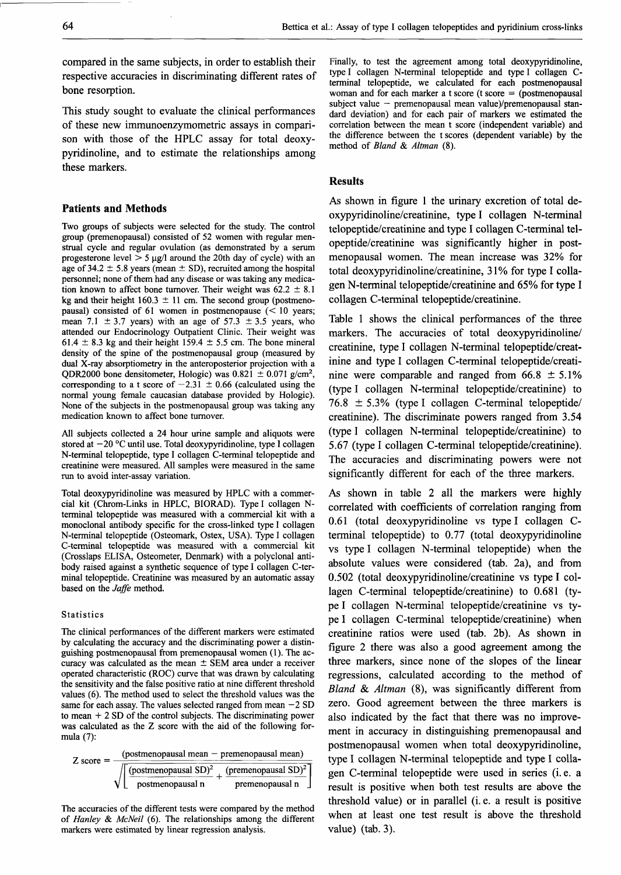compared in the same subjects, in order to establish their respective accuracies in discriminating different rates of bone resorption.

This study sought to evaluate the clinical performances of these new immunoenzymometric assays in comparison with those of the HPLC assay for total deoxypyridinoline, and to estimate the relationships among these markers.

## **Patients and Methods**

Two groups of subjects were selected for the study. The control group (premenopausal) consisted of 52 women with regular menstrual cycle and regular ovulation (as demonstrated by a serum progesterone level  $> 5 \mu g/l$  around the 20th day of cycle) with an age of 34.2  $\pm$  5.8 years (mean  $\pm$  SD), recruited among the hospital personnel; none of them had any disease or was taking any medication known to affect bone turnover. Their weight was  $62.2 \pm 8.1$ kg and their height  $160.3 \pm 11$  cm. The second group (postmenopausal) consisted of 61 women in postmenopause  $(< 10$  years; mean 7.1  $\pm$  3.7 years) with an age of 57.3  $\pm$  3.5 years, who attended our Endocrinology Outpatient Clinic. Their weight was 61.4  $\pm$  8.3 kg and their height 159.4  $\pm$  5.5 cm. The bone mineral density of the spine of the postmenopausal group (measured by dual X-ray absorptiometry in the anteroposterior projection with a QDR2000 bone densitometer, Hologic) was  $0.821 \pm 0.071$  g/cm<sup>2</sup>, corresponding to a t score of  $-2.31 \pm 0.66$  (calculated using the normal young female Caucasian database provided by Hologic). None of the subjects in the postmenopausal group was taking any medication known to affect bone turnover.

All subjects collected a 24 hour urine sample and aliquots were stored at  $-20$  °C until use. Total deoxypyridinoline, type I collagen N-terminal telopeptide, type I collagen C-terminal telopeptide and creatinine were measured. All samples were measured in the same run to avoid inter-assay variation.

Total deoxypyridinoline was measured by HPLC with a commercial kit (Chrom-Links in HPLC, BIORAD). Type I collagen Nterminal telopeptide was measured with a commercial kit with a monoclonal antibody specific for the cross-linked type I collagen N-terminal telopeptide (Osteomark, Ostex, USA). Type I collagen C-terminal telopeptide was measured with a commercial kit (Crosslaps ELISA, Osteometer, Denmark) with a polyclonal antibody raised against a synthetic sequence of type I collagen C-terminal telopeptide. Creatinine was measured by an automatic assay based on the *Jaffe* method.

#### **Statistics**

The clinical performances of the different markers were estimated by calculating the accuracy and the discriminating power a distinguishing postmenopausal *from* premenopausal women (1). The accuracy was calculated as the mean  $\pm$  SEM area under a receiver operated characteristic (ROC) curve that was drawn by calculating the sensitivity and the false positive ratio at nine different threshold values (6). The method used to select the threshold values was the same for each assay. The values selected ranged from mean  $-2$  SD to mean + 2 SD of the control subjects. The discriminating power was calculated as the Z score with the aid of the following formula (7):

$$
Z score = \frac{(postmenopausal mean - premenopausal mean)}{\sqrt{\left[\frac{(postmenopausal SD)^2}{postmenopausal n} + \frac{(premenopausal n)}{premenopausal n}\right]}}
$$

The accuracies of the different tests were compared by the method of *Hanley & McNeil* (6). The relationships among the different markers were estimated by linear regression analysis.

Finally, to test the agreement among total deoxypyridinoline, type I collagen N-terminal telopeptide and type I collagen Cterminal telopeptide, we calculated for each postmenopausal woman and for each marker a t score (t score  $=$  (postmenopausal subject value — premenopausal mean value)/premenopausal standard deviation) and for each pair of markers we estimated the correlation between the mean t score (independent variable) and the difference between the t scores (dependent variable) by the method of *Bland & Altman* (8).

#### **Results**

As shown in figure 1 the urinary excretion of total deoxypyridinoline/creatinine, type I collagen N-terminal telopeptide/creatinine and type I collagen C-terminal telopeptide/creatinine was significantly higher in postmenopausal women. The mean increase was 32% for total deoxypyridinoline/creatinine, 31% for type I collagen N-terminal telopeptide/creatinine and 65% for type I collagen C-terminal telopeptide/creatinine.

Table 1 shows the clinical performances of the three markers. The accuracies of total deoxypyridinoline/ creatinine, type I collagen N-terminal telopeptide/creatinine and type I collagen C-terminal telopeptide/creatinine were comparable and ranged from  $66.8 \pm 5.1\%$ (type I collagen N-terminal telopeptide/creatinine) to  $76.8 \pm 5.3\%$  (type I collagen C-terminal telopeptide/ creatinine). The discriminate powers ranged from 3.54 (type I collagen N-terminal telopeptide/creatinine) to 5.67 (type I collagen C-terminal telopeptide/creatinine). The accuracies and discriminating powers were not significantly different for each of the three markers.

As shown in table 2 all the markers were highly correlated with coefficients of correlation ranging from 0.61 (total deoxypyridinoline vs type I collagen Cterminal telopeptide) to 0.77 (total deoxypyridinoline vs type I collagen N-terminal telopeptide) when the absolute values were considered (tab. 2a), and from 0.502 (total deoxypyridinoline/creatinine vs type I collagen C-terminal telopeptide/creatinine) to 0.681 (type I collagen N-terminal telopeptide/creatinine vs type I collagen C-terminal telopeptide/creatinine) when creatinine ratios were used (tab. 2b). As shown in figure 2 there was also a good agreement among the three markers, since none of the slopes of the linear regressions, calculated according to the method of *Bland & Altman* (8), was significantly different from zero. Good agreement between the three markers is also indicated by the fact that there was no improvement in accuracy in distinguishing premenopausal and postmenopausal women when total deoxypyridinoline, type I collagen N-terminal telopeptide and type I collagen C-terminal telopeptide were used in series (i.e. a result is positive when both test results are above the threshold value) or in parallel (i. e. a result is positive when at least one test result is above the threshold value) (tab. 3).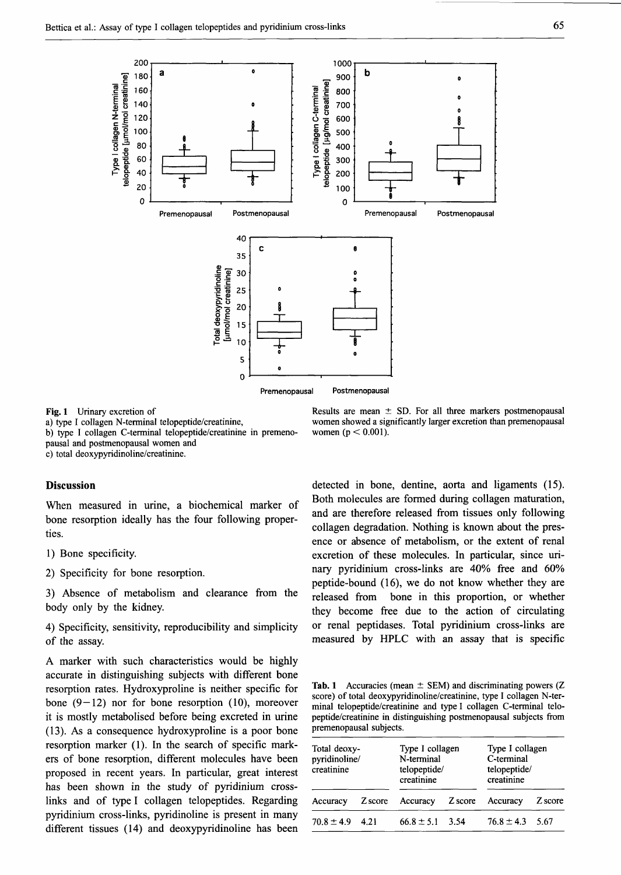

Fig. 1 Urinary excretion of

a) type I collagen N-terminal telopeptide/creatinine,

b) type I collagen C-terminal telopeptide/creatinine in premenopausal and postmenopausal women and

c) total deoxypyridinoline/creatinine.

#### **Discussion**

When measured in urine, a biochemical marker of bone resorption ideally has the four following properties.

1) Bone specificity.

2) Specificity for bone resorption.

3) Absence of metabolism and clearance from the body only by the kidney.

4) Specificity, sensitivity, reproducibility and simplicity of the assay.

A marker with such characteristics would be highly accurate in distinguishing subjects with different bone resorption rates. Hydroxyproline is neither specific for bone  $(9-12)$  nor for bone resorption (10), moreover it is mostly metabolised before being excreted in urine (13). As a consequence hydroxyproline is a poor bone resorption marker (1). In the search of specific markers of bone resorption, different molecules have been proposed in recent years. In particular, great interest has been shown in the study of pyridinium crosslinks and of type I collagen telopeptides. Regarding pyridinium cross-links, pyridinoline is present in many different tissues (14) and deoxypyridinoline has been

Results are mean  $\pm$  SD. For all three markers postmenopausal women showed a significantly larger excretion than premenopausal women ( $p < 0.001$ ).

detected in bone, dentine, aorta and ligaments (15). Both molecules are formed during collagen maturation, and are therefore released from tissues only following collagen degradation. Nothing is known about the presence or absence of metabolism, or the extent of renal excretion of these molecules. In particular, since urinary pyridinium cross-links are 40% free and 60% peptide-bound (16), we do not know whether they are released from bone in this proportion, or whether they become free due to the action of circulating or renal peptidases. Total pyridinium cross-links are measured by HPLC with an assay that is specific

Tab. 1 Accuracies (mean  $\pm$  SEM) and discriminating powers (Z score) of total deoxypyridinoline/creatinine, type I collagen N-terminal telopeptide/creatinine and type I collagen C-terminal telopeptide/creatinine in distinguishing postmenopausal subjects from premenopausal subjects.

| Total deoxy-<br>pyridinoline/<br>creatinine |         | Type I collagen<br>N-terminal<br>telopeptide/<br>creatinine |         | Type I collagen<br>C-terminal<br>telopeptide/<br>creatinine |         |
|---------------------------------------------|---------|-------------------------------------------------------------|---------|-------------------------------------------------------------|---------|
| Accuracy                                    | Z score | Accuracy                                                    | Z score | Accuracy                                                    | Z score |
| $70.8 \pm 4.9$                              | 4 2 1   | $66.8 \pm 5.1$ 3.54                                         |         | $76.8 \pm 4.3$ 5.67                                         |         |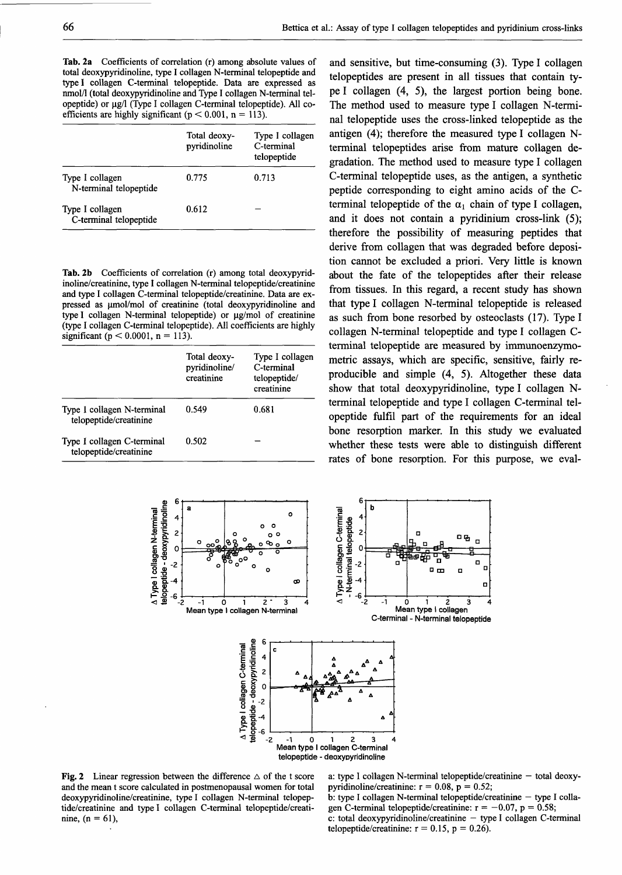**Tab. 2a** Coefficients of correlation (r) among absolute values of total deoxypyridinoline, type I collagen N-terminal telopeptide and type I collagen C-terminal telopeptide. Data are expressed as nmol/1 (total deoxypyridinoline and Type I collagen N-terminal telopeptide) or μg/l (Type I collagen C-terminal telopeptide). All coefficients are highly significant ( $p < 0.001$ ,  $n = 113$ ).

|                                           | Total deoxy-<br>pyridinoline | Type I collagen<br>C-terminal<br>telopeptide |
|-------------------------------------------|------------------------------|----------------------------------------------|
| Type I collagen<br>N-terminal telopeptide | 0.775                        | 0.713                                        |
| Type I collagen<br>C-terminal telopeptide | 0.612                        |                                              |

**Tab. 2b** Coefficients of correlation (r) among total deoxypyridinoline/creatinine, type I collagen N-terminal telopeptide/creatinine and type I collagen C-terminal telopeptide/creatinine. Data are expressed as umol/mol of creatinine (total deoxypyridinoline and type I collagen N-terminal telopeptide) or μg/mol of creatinine (type I collagen C-terminal telopeptide). All coefficients are highly significant ( $p < 0.0001$ ,  $n = 113$ ).

|                                                      | Total deoxy-<br>pyridinoline/<br>creatinine | Type I collagen<br>C-terminal<br>telopeptide/<br>creatinine |
|------------------------------------------------------|---------------------------------------------|-------------------------------------------------------------|
| Type I collagen N-terminal<br>telopeptide/creatinine | 0.549                                       | 0.681                                                       |
| Type I collagen C-terminal<br>telopeptide/creatinine | 0.502                                       |                                                             |

and sensitive, but time-consuming (3). Type I collagen telopeptides are present in all tissues that contain type I collagen (4, 5), the largest portion being bone. The method used to measure type I collagen N-terminal telopeptide uses the cross-linked telopeptide as the antigen (4); therefore the measured type I collagen Nterminal telopeptides arise from mature collagen degradation. The method used to measure type I collagen C-terminal telopeptide uses, as the antigen, a synthetic peptide corresponding to eight amino acids of the Cterminal telopeptide of the  $\alpha_1$  chain of type I collagen, and it does not contain a pyridinium cross-link (5); therefore the possibility of measuring peptides that derive from collagen that was degraded before deposition cannot be excluded a priori. Very little is known about the fate of the telopeptides after their release from tissues. In this regard, a recent study has shown that type I collagen N-terminal telopeptide is released as such from bone resorbed by osteoclasts (17). Type I collagen N-terminal telopeptide and type I collagen Cterminal telopeptide are measured by immunoenzymometric assays, which are specific, sensitive, fairly reproducible and simple (4, 5). Altogether these data show that total deoxypyridinoline, type I collagen Nterminal telopeptide and type I collagen C-terminal telopeptide fulfil part of the requirements for an ideal bone resorption marker. In this study we evaluated whether these tests were able to distinguish different rates of bone resorption. For this purpose, we eval-



Fig. 2 Linear regression between the difference  $\triangle$  of the t score and the mean t score calculated in postmenopausal women for total deoxypyridinoline/creatinine, type I collagen N-terminal telopeptide/creatinine and type I collagen C-terminal telopeptide/creatinine,  $(n = 61)$ ,

a: type I collagen N-terminal telopeptide/creatinine - total deoxypyridinoline/creatinine:  $r = 0.08$ ,  $p = 0.52$ ;

b: type I collagen N-terminal telopeptide/creatinine — type I collagen C-terminal telopeptide/creatinine:  $r = -0.07$ ,  $p = 0.58$ ;  $c$ : total deoxypyridinoline/creatinine  $-$  type I collagen C-terminal telopeptide/creatinine:  $r = 0.15$ ,  $p = 0.26$ ).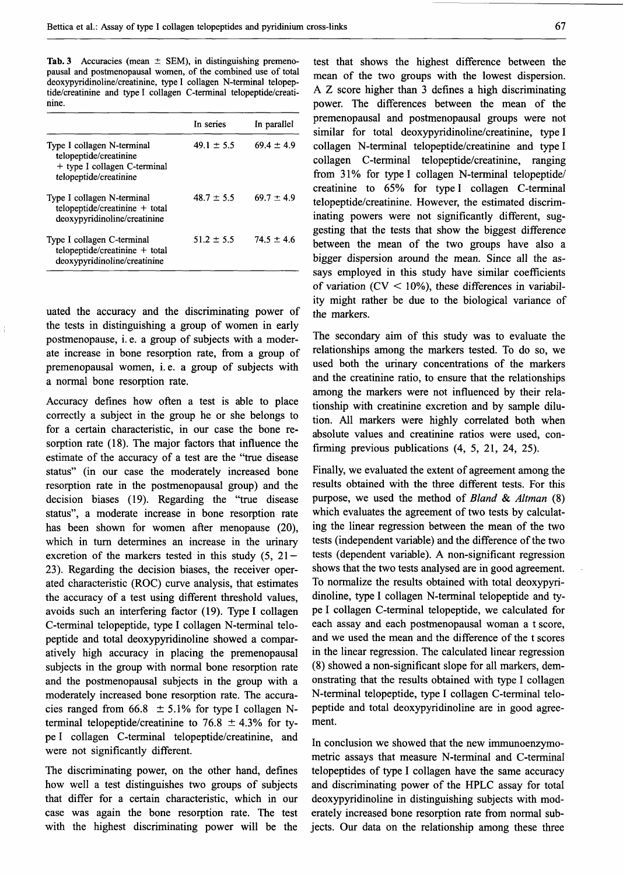Tab. 3 Accuracies (mean  $\pm$  SEM), in distinguishing premenopausal and postmenopausal women, of the combined use of total deoxypyridinoline/creatinine, type I collagen N-terminal telopeptide/creatinine and type I collagen C-terminal telopeptide/creatinine.

|                                                                                                                | In series      | In parallel    |
|----------------------------------------------------------------------------------------------------------------|----------------|----------------|
| Type I collagen N-terminal<br>telopeptide/creatinine<br>+ type I collagen C-terminal<br>telopeptide/creatinine | $49.1 \pm 5.5$ | $69.4 \pm 4.9$ |
| Type I collagen N-terminal<br>$telopeptide/creationine + total$<br>deoxypyridinoline/creatinine                | $48.7 \pm 5.5$ | $69.7 \pm 4.9$ |
| Type I collagen C-terminal<br>$telopeptide/creationine + total$<br>deoxypyridinoline/creatinine                | $51.2 \pm 5.5$ | $74.5 \pm 4.6$ |

uated the accuracy and the discriminating power of the tests in distinguishing a group of women in early postmenopause, i. e. a group of subjects with a moderate increase in bone resorption rate, from a group of premenopausal women, i.e. a group of subjects with a normal bone resorption rate.

Accuracy defines how often a test is able to place correctly a subject in the group he or she belongs to for a certain characteristic, in our case the bone resorption rate (18). The major factors that influence the estimate of the accuracy of a test are the "true disease status" (in our case the moderately increased bone resorption rate in the postmenopausal group) and the decision biases (19). Regarding the "true disease status", a moderate increase in bone resorption rate has been shown for women after menopause (20), which in turn determines an increase in the urinary excretion of the markers tested in this study  $(5, 21 -$ 23). Regarding the decision biases, the receiver operated characteristic (ROC) curve analysis, that estimates the accuracy of a test using different threshold values, avoids such an interfering factor (19). Type I collagen C-terminal telopeptide, type I collagen N-terminal telopeptide and total deoxypyridinoline showed a comparatively high accuracy in placing the premenopausal subjects in the group with normal bone resorption rate and the postmenopausal subjects in the group with a moderately increased bone resorption rate. The accuracies ranged from 66.8  $\pm$  5.1% for type I collagen Nterminal telopeptide/creatinine to 76.8  $\pm$  4.3% for type I collagen C-terminal telopeptide/creatinine, and were not significantly different.

The discriminating power, on the other hand, defines how well a test distinguishes two groups of subjects that differ for a certain characteristic, which in our case was again the bone resorption rate. The test with the highest discriminating power will be the

test that shows the highest difference between the mean of the two groups with the lowest dispersion. A Z score higher than 3 defines a high discriminating power. The differences between the mean of the premenopausal and postmenopausal groups were not similar for total deoxypyridinoline/creatinine, type I collagen N-terminal telopeptide/creatinine and type I collagen C-terminal telopeptide/creatinine, ranging from 31% for type I collagen N-terminal telopeptide/ creatinine to 65% for type I collagen C-terminal telopeptide/creatinine. However, the estimated discriminating powers were not significantly different, suggesting that the tests that show the biggest difference between the mean of the two groups have also a bigger dispersion around the mean. Since all the assays employed in this study have similar coefficients of variation ( $CV < 10\%$ ), these differences in variability might rather be due to the biological variance of the markers.

The secondary aim of this study was to evaluate the relationships among the markers tested. To do so, we used both the urinary concentrations of the markers and the creatinine ratio, to ensure that the relationships among the markers were not influenced by their relationship with creatinine excretion and by sample dilution. All markers were highly correlated both when absolute values and creatinine ratios were used, confirming previous publications (4, 5, 21, 24, 25).

Finally, we evaluated the extent of agreement among the results obtained with the three different tests. For this purpose, we used the method of *Bland & Altman* (8) which evaluates the agreement of two tests by calculating the linear regression between the mean of the two tests (independent variable) and the difference of the two tests (dependent variable). A non-significant regression shows that the two tests analysed are in good agreement. To normalize the results obtained with total deoxypyridinoline, type I collagen N-terminal telopeptide and type I collagen C-terminal telopeptide, we calculated for each assay and each postmenopausal woman a t score, and we used the mean and the difference of the t scores in the linear regression. The calculated linear regression (8) showed a non-significant slope for all markers, demonstrating that the results obtained with type I collagen N-terminal telopeptide, type I collagen C-terminal telopeptide and total deoxypyridinoline are in good agreement.

In conclusion we showed that the new immunoenzymometric assays that measure N-terminal and C-terminal telopeptides of type I collagen have the same accuracy and discriminating power of the HPLC assay for total deoxypyridinoline in distinguishing subjects with moderately increased bone resorption rate from normal subjects. Our data on the relationship among these three